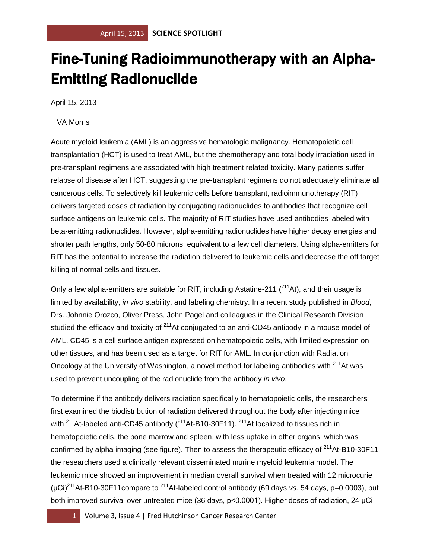## Fine-Tuning Radioimmunotherapy with an Alpha-Emitting Radionuclide

April 15, 2013

## VA Morris

Acute myeloid leukemia (AML) is an aggressive hematologic malignancy. Hematopoietic cell transplantation (HCT) is used to treat AML, but the chemotherapy and total body irradiation used in pre-transplant regimens are associated with high treatment related toxicity. Many patients suffer relapse of disease after HCT, suggesting the pre-transplant regimens do not adequately eliminate all cancerous cells. To selectively kill leukemic cells before transplant, radioimmunotherapy (RIT) delivers targeted doses of radiation by conjugating radionuclides to antibodies that recognize cell surface antigens on leukemic cells. The majority of RIT studies have used antibodies labeled with beta-emitting radionuclides. However, alpha-emitting radionuclides have higher decay energies and shorter path lengths, only 50-80 microns, equivalent to a few cell diameters. Using alpha-emitters for RIT has the potential to increase the radiation delivered to leukemic cells and decrease the off target killing of normal cells and tissues.

Only a few alpha-emitters are suitable for RIT, including Astatine-211  $(^{211}$ At), and their usage is limited by availability, *in vivo* stability, and labeling chemistry. In a recent study published in *Blood*, Drs. Johnnie Orozco, Oliver Press, John Pagel and colleagues in the Clinical Research Division studied the efficacy and toxicity of  $211$ At conjugated to an anti-CD45 antibody in a mouse model of AML. CD45 is a cell surface antigen expressed on hematopoietic cells, with limited expression on other tissues, and has been used as a target for RIT for AML. In conjunction with Radiation Oncology at the University of Washington, a novel method for labeling antibodies with <sup>211</sup>At was used to prevent uncoupling of the radionuclide from the antibody *in vivo*.

To determine if the antibody delivers radiation specifically to hematopoietic cells, the researchers first examined the biodistribution of radiation delivered throughout the body after injecting mice with  $211$ At-labeled anti-CD45 antibody  $(^{211}$ At-B10-30F11).  $^{211}$ At localized to tissues rich in hematopoietic cells, the bone marrow and spleen, with less uptake in other organs, which was confirmed by alpha imaging (see figure). Then to assess the therapeutic efficacy of  $211$ At-B10-30F11, the researchers used a clinically relevant disseminated murine myeloid leukemia model. The leukemic mice showed an improvement in median overall survival when treated with 12 microcurie (μCi)<sup>211</sup>At-B10-30F11compare to <sup>211</sup>At-labeled control antibody (69 days *vs*. 54 days, p=0.0003), but both improved survival over untreated mice (36 days, p<0.0001). Higher doses of radiation, 24 μCi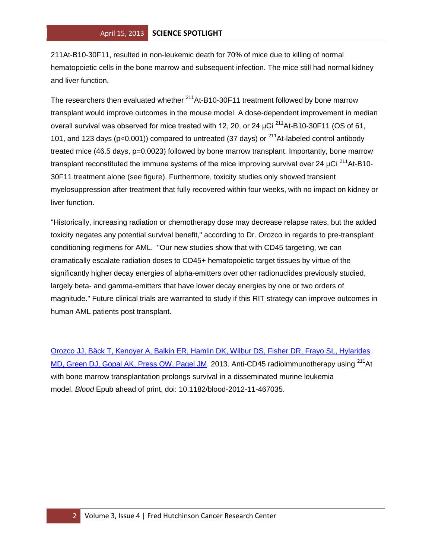211At-B10-30F11, resulted in non-leukemic death for 70% of mice due to killing of normal hematopoietic cells in the bone marrow and subsequent infection. The mice still had normal kidney and liver function.

The researchers then evaluated whether  $^{211}$ At-B10-30F11 treatment followed by bone marrow transplant would improve outcomes in the mouse model. A dose-dependent improvement in median overall survival was observed for mice treated with 12, 20, or 24 μCi<sup>211</sup>At-B10-30F11 (OS of 61, 101, and 123 days ( $p<0.001$ )) compared to untreated (37 days) or <sup>211</sup>At-labeled control antibody treated mice (46.5 days, p=0.0023) followed by bone marrow transplant. Importantly, bone marrow transplant reconstituted the immune systems of the mice improving survival over 24 μCi  $^{211}$ At-B10-30F11 treatment alone (see figure). Furthermore, toxicity studies only showed transient myelosuppression after treatment that fully recovered within four weeks, with no impact on kidney or liver function.

"Historically, increasing radiation or chemotherapy dose may decrease relapse rates, but the added toxicity negates any potential survival benefit," according to Dr. Orozco in regards to pre-transplant conditioning regimens for AML. "Our new studies show that with CD45 targeting, we can dramatically escalate radiation doses to CD45+ hematopoietic target tissues by virtue of the significantly higher decay energies of alpha-emitters over other radionuclides previously studied, largely beta- and gamma-emitters that have lower decay energies by one or two orders of magnitude." Future clinical trials are warranted to study if this RIT strategy can improve outcomes in human AML patients post transplant.

[Orozco JJ, Bäck T, Kenoyer A, Balkin ER, Hamlin DK, Wilbur DS, Fisher DR, Frayo SL, Hylarides](http://www.ncbi.nlm.nih.gov/pubmed/23471305?otool=fhcrclib)  [MD, Green DJ, Gopal AK, Press OW, Pagel JM.](http://www.ncbi.nlm.nih.gov/pubmed/23471305?otool=fhcrclib) 2013. Anti-CD45 radioimmunotherapy using <sup>211</sup>At with bone marrow transplantation prolongs survival in a disseminated murine leukemia model. *Blood* Epub ahead of print, doi: 10.1182/blood-2012-11-467035.